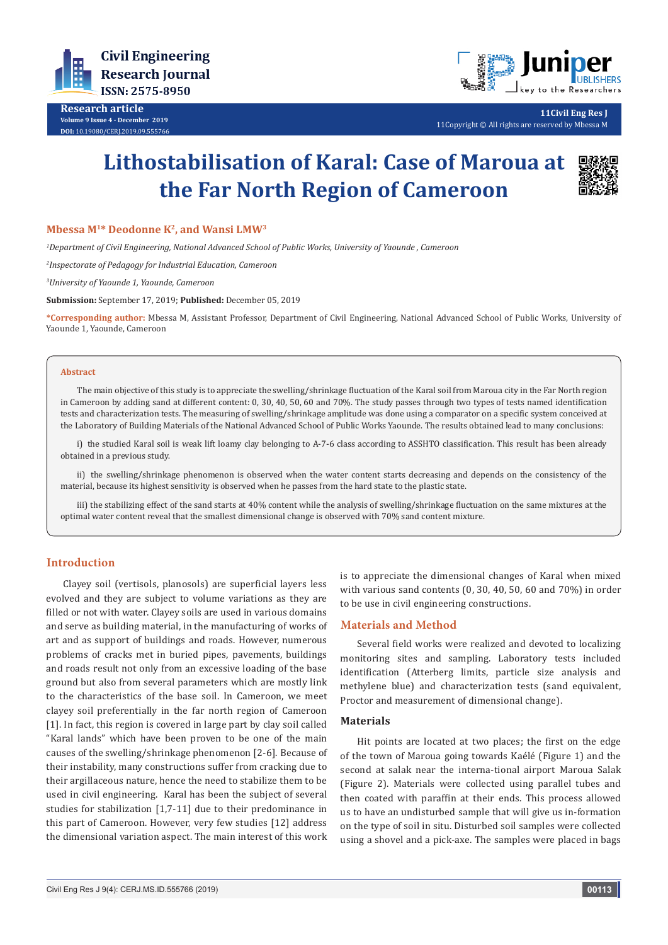

**Research article Volume 9 Issue 4 - December 2019 DOI:** [10.19080/CERJ.2019.09.555766](http://dx.doi.org/10.19080/CERJ.2019.09.555766)



**11Civil Eng Res J** 11Copyright © All rights are reserved by Mbessa M

# **Lithostabilisation of Karal: Case of Maroua at the Far North Region of Cameroon**



#### **Mbessa M1\* Deodonne K2, and Wansi LMW3**

*1 Department of Civil Engineering, National Advanced School of Public Works, University of Yaounde , Cameroon*

*2 Inspectorate of Pedagogy for Industrial Education, Cameroon*

*3 University of Yaounde 1, Yaounde, Cameroon*

**Submission:** September 17, 2019; **Published:** December 05, 2019

**\*Corresponding author:** Mbessa M, Assistant Professor, Department of Civil Engineering, National Advanced School of Public Works, University of Yaounde 1, Yaounde, Cameroon

#### **Abstract**

The main objective of this study is to appreciate the swelling/shrinkage fluctuation of the Karal soil from Maroua city in the Far North region in Cameroon by adding sand at different content: 0, 30, 40, 50, 60 and 70%. The study passes through two types of tests named identification tests and characterization tests. The measuring of swelling/shrinkage amplitude was done using a comparator on a specific system conceived at the Laboratory of Building Materials of the National Advanced School of Public Works Yaounde. The results obtained lead to many conclusions:

i) the studied Karal soil is weak lift loamy clay belonging to A-7-6 class according to ASSHTO classification. This result has been already obtained in a previous study.

ii) the swelling/shrinkage phenomenon is observed when the water content starts decreasing and depends on the consistency of the material, because its highest sensitivity is observed when he passes from the hard state to the plastic state.

iii) the stabilizing effect of the sand starts at 40% content while the analysis of swelling/shrinkage fluctuation on the same mixtures at the optimal water content reveal that the smallest dimensional change is observed with 70% sand content mixture.

## **Introduction**

Clayey soil (vertisols, planosols) are superficial layers less evolved and they are subject to volume variations as they are filled or not with water. Clayey soils are used in various domains and serve as building material, in the manufacturing of works of art and as support of buildings and roads. However, numerous problems of cracks met in buried pipes, pavements, buildings and roads result not only from an excessive loading of the base ground but also from several parameters which are mostly link to the characteristics of the base soil. In Cameroon, we meet clayey soil preferentially in the far north region of Cameroon [1]. In fact, this region is covered in large part by clay soil called "Karal lands" which have been proven to be one of the main causes of the swelling/shrinkage phenomenon [2-6]. Because of their instability, many constructions suffer from cracking due to their argillaceous nature, hence the need to stabilize them to be used in civil engineering. Karal has been the subject of several studies for stabilization [1,7-11] due to their predominance in this part of Cameroon. However, very few studies [12] address the dimensional variation aspect. The main interest of this work

is to appreciate the dimensional changes of Karal when mixed with various sand contents (0, 30, 40, 50, 60 and 70%) in order to be use in civil engineering constructions.

#### **Materials and Method**

Several field works were realized and devoted to localizing monitoring sites and sampling. Laboratory tests included identification (Atterberg limits, particle size analysis and methylene blue) and characterization tests (sand equivalent, Proctor and measurement of dimensional change).

#### **Materials**

Hit points are located at two places; the first on the edge of the town of Maroua going towards Kaélé (Figure 1) and the second at salak near the interna-tional airport Maroua Salak (Figure 2). Materials were collected using parallel tubes and then coated with paraffin at their ends. This process allowed us to have an undisturbed sample that will give us in-formation on the type of soil in situ. Disturbed soil samples were collected using a shovel and a pick-axe. The samples were placed in bags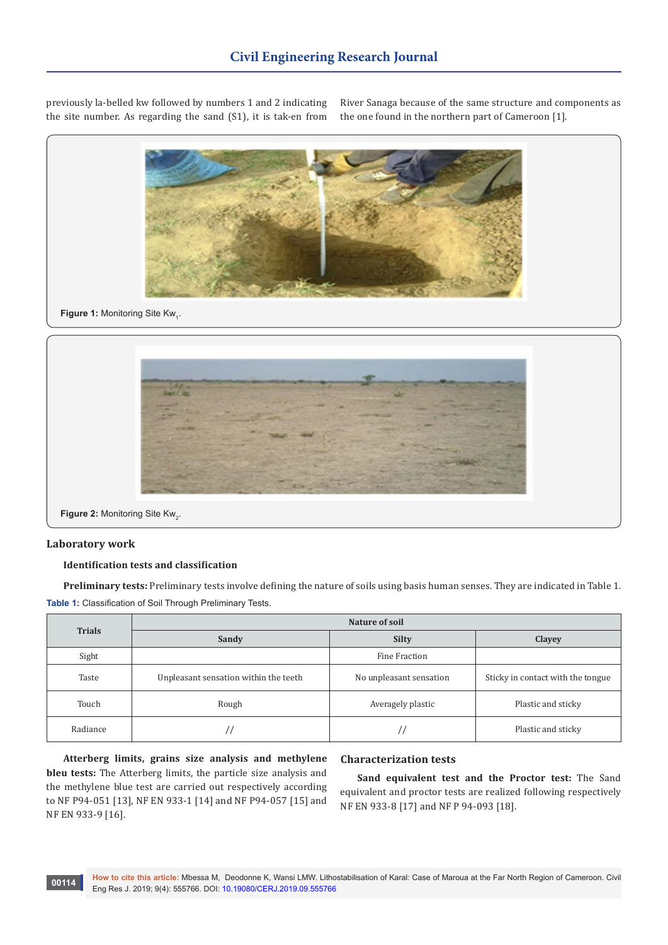previously la-belled kw followed by numbers 1 and 2 indicating the site number. As regarding the sand (S1), it is tak-en from

River Sanaga because of the same structure and components as the one found in the northern part of Cameroon [1].



# **Figure 1: Monitoring Site Kw<sub>1</sub>.**



**Figure 2:** Monitoring Site Kw<sub>2</sub>.

#### **Laboratory work**

## **Identification tests and classification**

**Preliminary tests:** Preliminary tests involve defining the nature of soils using basis human senses. They are indicated in Table 1. **Table 1:** Classification of Soil Through Preliminary Tests.

| <b>Trials</b> | Nature of soil                        |                         |                                   |  |  |  |  |
|---------------|---------------------------------------|-------------------------|-----------------------------------|--|--|--|--|
|               | Sandy                                 | <b>Silty</b>            | Clayey                            |  |  |  |  |
| Sight         |                                       | Fine Fraction           |                                   |  |  |  |  |
| Taste         | Unpleasant sensation within the teeth | No unpleasant sensation | Sticky in contact with the tongue |  |  |  |  |
| Touch         | Rough                                 | Averagely plastic       | Plastic and sticky                |  |  |  |  |
| Radiance      |                                       |                         | Plastic and sticky                |  |  |  |  |

**Atterberg limits, grains size analysis and methylene bleu tests:** The Atterberg limits, the particle size analysis and the methylene blue test are carried out respectively according to NF P94-051 [13], NF EN 933-1 [14] and NF P94-057 [15] and NF EN 933-9 [16].

# **Characterization tests**

**Sand equivalent test and the Proctor test:** The Sand equivalent and proctor tests are realized following respectively NF EN 933-8 [17] and NF P 94-093 [18].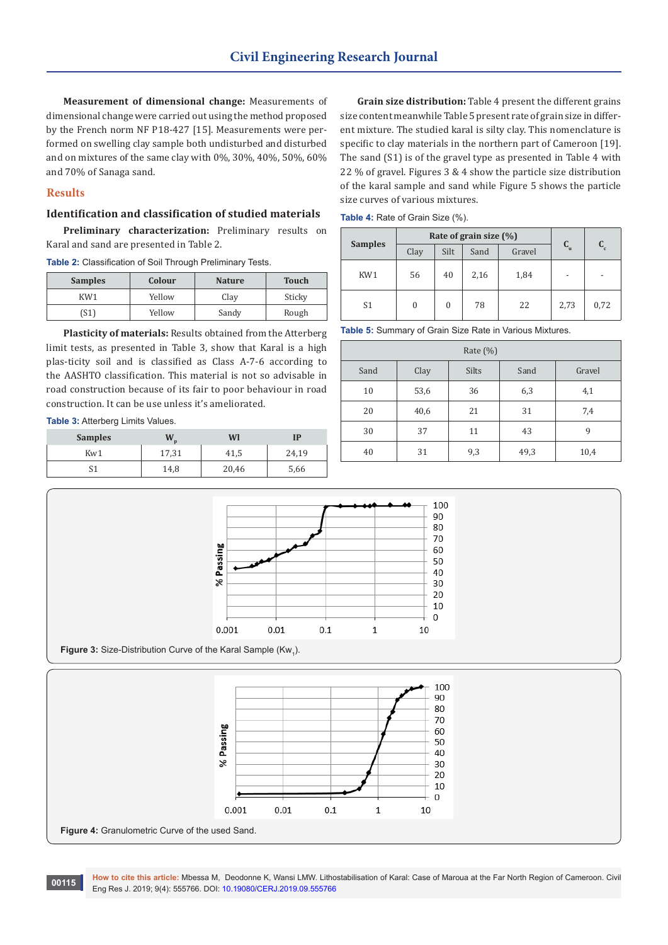**Measurement of dimensional change:** Measurements of dimensional change were carried out using the method proposed by the French norm NF P18-427 [15]. Measurements were performed on swelling clay sample both undisturbed and disturbed and on mixtures of the same clay with 0%, 30%, 40%, 50%, 60% and 70% of Sanaga sand.

# **Results**

### **Identification and classification of studied materials**

**Preliminary characterization:** Preliminary results on Karal and sand are presented in Table 2.

**Table 2:** Classification of Soil Through Preliminary Tests.

| <b>Samples</b> | Colour | <b>Nature</b> | <b>Touch</b> |
|----------------|--------|---------------|--------------|
| KW1            | Yellow | Clay          | Sticky       |
| (S1)           | Yellow | Sandy         | Rough        |

**Plasticity of materials:** Results obtained from the Atterberg limit tests, as presented in Table 3, show that Karal is a high plas-ticity soil and is classified as Class A-7-6 according to the AASHTO classification. This material is not so advisable in road construction because of its fair to poor behaviour in road construction. It can be use unless it's ameliorated.

**Table 3:** Atterberg Limits Values.

| <b>Samples</b> | M.    | Wl    | IP    |
|----------------|-------|-------|-------|
| Kw1            | 17,31 | 41,5  | 24,19 |
| C 1<br>ر ر     | 14,8  | 20,46 | 5,66  |

**Grain size distribution:** Table 4 present the different grains size content meanwhile Table 5 present rate of grain size in different mixture. The studied karal is silty clay. This nomenclature is specific to clay materials in the northern part of Cameroon [19]. The sand (S1) is of the gravel type as presented in Table 4 with 22 % of gravel. Figures 3 & 4 show the particle size distribution of the karal sample and sand while Figure 5 shows the particle size curves of various mixtures.

**Table 4:** Rate of Grain Size (%).

|                | Rate of grain size $(\% )$ |          |      |        |                           |                         |
|----------------|----------------------------|----------|------|--------|---------------------------|-------------------------|
| <b>Samples</b> | Clay                       | Silt     | Sand | Gravel | $\mathbf{C}_{\mathrm{u}}$ | $\mathbf{C}_\mathrm{c}$ |
| KW1            | 56                         | 40       | 2,16 | 1,84   | $\overline{\phantom{a}}$  |                         |
| S <sub>1</sub> | 0                          | $\theta$ | 78   | 22     | 2,73                      | 0,72                    |

**Table 5:** Summary of Grain Size Rate in Various Mixtures.

| Rate (%) |      |       |      |        |  |  |
|----------|------|-------|------|--------|--|--|
| Sand     | Clay | Silts | Sand | Gravel |  |  |
| 10       | 53,6 | 36    | 6,3  | 4,1    |  |  |
| 20       | 40,6 | 21    | 31   | 7,4    |  |  |
| 30       | 37   | 11    | 43   | 9      |  |  |
| 40       | 31   | 9,3   | 49,3 | 10,4   |  |  |



**Figure 3:** Size-Distribution Curve of the Karal Sample  $(Kw_1)$ .



**How to cite this article:** Mbessa M, Deodonne K, Wansi LMW. Lithostabilisation of Karal: Case of Maroua at the Far North Region of Cameroon. Civil **Eng Res J. 2019; 9(4): 555766. DOI: [10.19080/CERJ.2019.09.555766](http://dx.doi.org/10.19080/CERJ.2019.09.555766) contract to Eng Res J. 2019; 9(4): 555766 DOI: 10.19080/CERJ.2019.09.555766**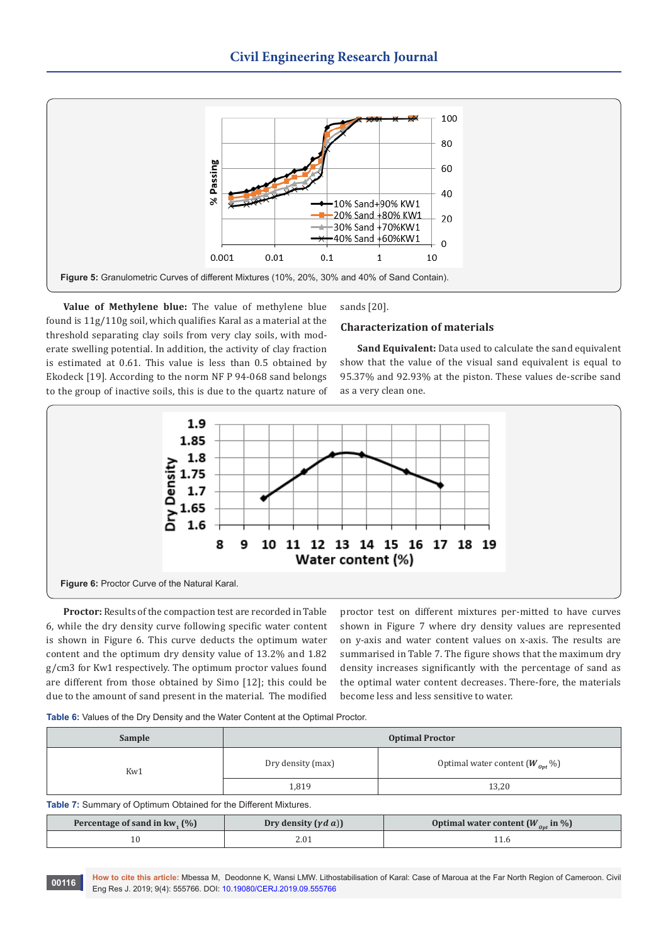

**Value of Methylene blue:** The value of methylene blue found is 11g/110g soil, which qualifies Karal as a material at the threshold separating clay soils from very clay soils, with moderate swelling potential. In addition, the activity of clay fraction is estimated at 0.61. This value is less than 0.5 obtained by Ekodeck [19]. According to the norm NF P 94-068 sand belongs to the group of inactive soils, this is due to the quartz nature of sands [20].

#### **Characterization of materials**

**Sand Equivalent:** Data used to calculate the sand equivalent show that the value of the visual sand equivalent is equal to 95.37% and 92.93% at the piston. These values de-scribe sand as a very clean one.



**Proctor:** Results of the compaction test are recorded in Table 6, while the dry density curve following specific water content is shown in Figure 6. This curve deducts the optimum water content and the optimum dry density value of 13.2% and 1.82 g/cm3 for Kw1 respectively. The optimum proctor values found are different from those obtained by Simo [12]; this could be due to the amount of sand present in the material. The modified

proctor test on different mixtures per-mitted to have curves shown in Figure 7 where dry density values are represented on y-axis and water content values on x-axis. The results are summarised in Table 7. The figure shows that the maximum dry density increases significantly with the percentage of sand as the optimal water content decreases. There-fore, the materials become less and less sensitive to water.

**Table 6:** Values of the Dry Density and the Water Content at the Optimal Proctor.

| Sample                                                                                                                                                                                                                                                                                                                                                      | <b>Optimal Proctor</b> |                                      |  |  |  |  |
|-------------------------------------------------------------------------------------------------------------------------------------------------------------------------------------------------------------------------------------------------------------------------------------------------------------------------------------------------------------|------------------------|--------------------------------------|--|--|--|--|
| Kw1                                                                                                                                                                                                                                                                                                                                                         | Dry density (max)      | Optimal water content $(W_{opt} \%)$ |  |  |  |  |
|                                                                                                                                                                                                                                                                                                                                                             | 1.819                  | 13,20                                |  |  |  |  |
| $\tau$ . $\alpha$ . $\alpha$ . $\alpha$ . $\alpha$ . $\alpha$ . $\alpha$ . $\alpha$ . $\alpha$ . $\alpha$ . $\alpha$ . $\alpha$ . $\alpha$ . $\alpha$ . $\alpha$ . $\alpha$ . $\alpha$ . $\alpha$ . $\alpha$ . $\alpha$ . $\alpha$ . $\alpha$ . $\alpha$ . $\alpha$ . $\alpha$ . $\alpha$ . $\alpha$ . $\alpha$ . $\alpha$ . $\alpha$ . $\alpha$ . $\alpha$ |                        |                                      |  |  |  |  |

**Table 7:** Summary of Optimum Obtained for the Different Mixtures.

| Percentage of sand in kw. $(\% )$ | Dry density $(\gamma d \, a)$ | Optimal water content $(W_{\text{out}}$ in %) |
|-----------------------------------|-------------------------------|-----------------------------------------------|
|                                   |                               |                                               |

**How to cite this article:** Mbessa M, Deodonne K, Wansi LMW. Lithostabilisation of Karal: Case of Maroua at the Far North Region of Cameroon. Civil **Eng Res J. 2019; 9(4): 555766. DOI: [10.19080/CERJ.2019.09.555766](http://dx.doi.org/10.19080/CERJ.2019.09.555766) DOI: 10.19080/CERJ.2019.09.555766**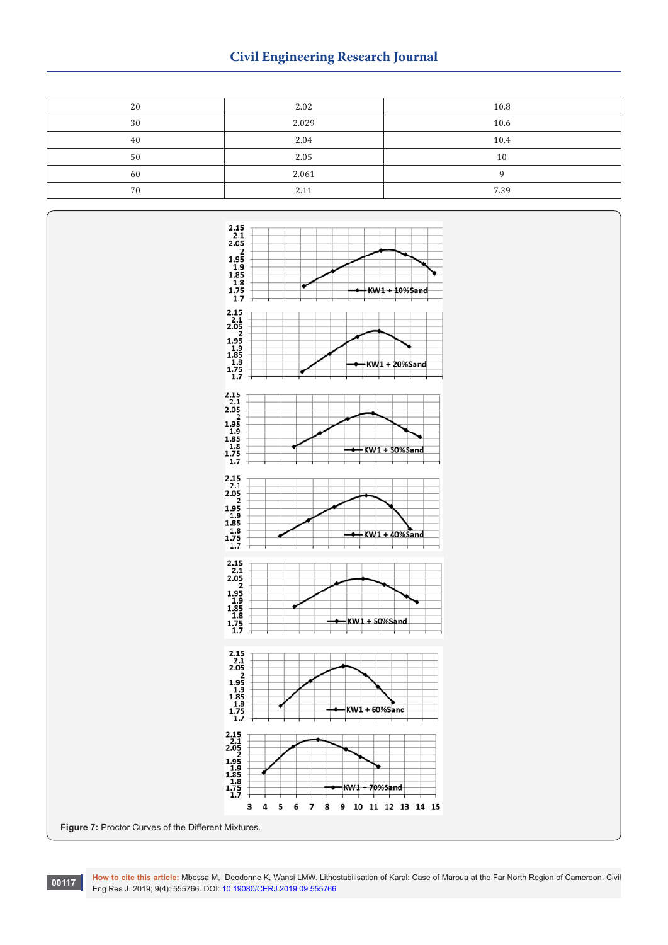# **Civil Engineering Research Journal**

| 20 | 2.02  | 10.8 |
|----|-------|------|
| 30 | 2.029 | 10.6 |
| 40 | 2.04  | 10.4 |
| 50 | 2.05  | 10   |
| 60 | 2.061 |      |
| 70 | 2.11  | 7.39 |



**How to cite this article:** Mbessa M, Deodonne K, Wansi LMW. Lithostabilisation of Karal: Case of Maroua at the Far North Region of Cameroon. Civil **EDUAL PROPERTS ATTLE ANDESS AND ADDITELY AND RESEARCH PROPERT ATTLE DRIVE CONTROL FOR RES** J. 2019; 9(4): 555766. DOI: [10.19080/CERJ.2019.09.555766](http://dx.doi.org/10.19080/CERJ.2019.09.555766)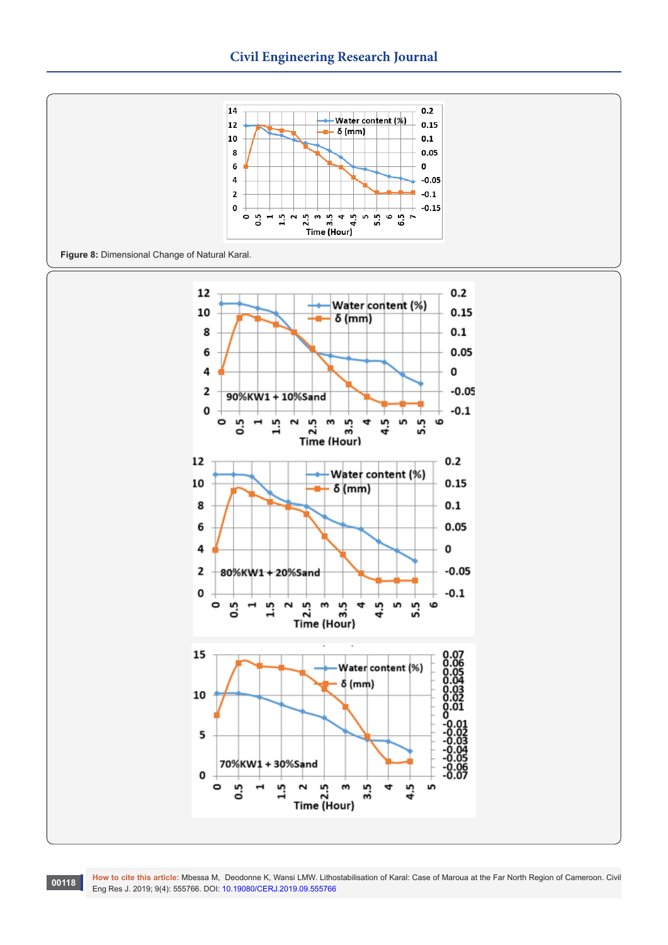

**Figure 8:** Dimensional Change of Natural Karal.



**How to cite this article:** Mbessa M, Deodonne K, Wansi LMW. Lithostabilisation of Karal: Case of Maroua at the Far North Region of Cameroon. Civil **EDENT RESEARCE TO BE A THE RESEARCE PROPERT RESP. 2019** COVER LIST For Press, 2019; 9(4): 555766. DOI: [10.19080/CERJ.2019.09.555766](http://dx.doi.org/10.19080/CERJ.2019.09.555766) **c**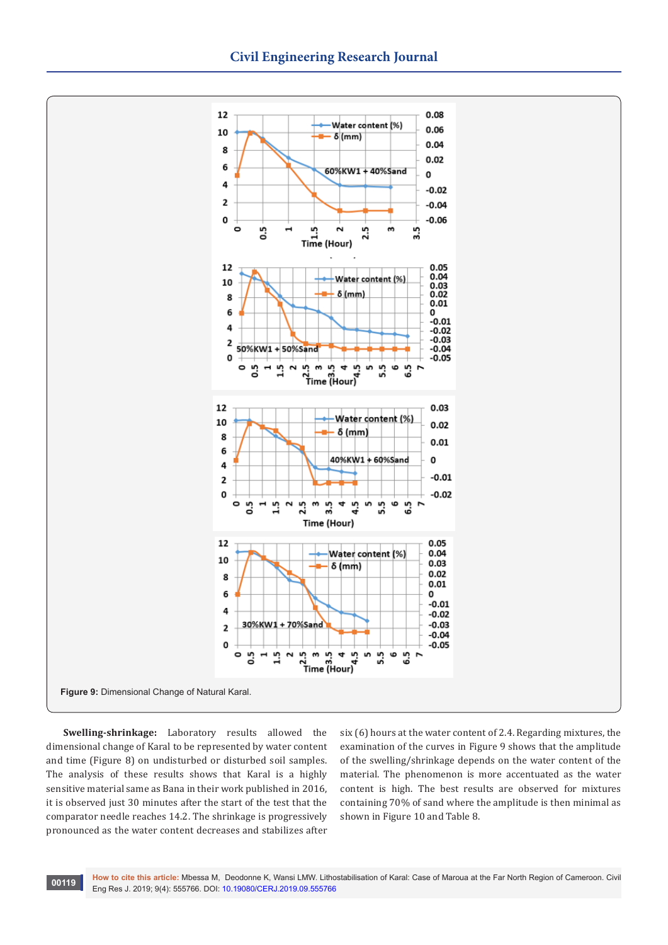

**Swelling-shrinkage:** Laboratory results allowed the dimensional change of Karal to be represented by water content and time (Figure 8) on undisturbed or disturbed soil samples. The analysis of these results shows that Karal is a highly sensitive material same as Bana in their work published in 2016, it is observed just 30 minutes after the start of the test that the comparator needle reaches 14.2. The shrinkage is progressively pronounced as the water content decreases and stabilizes after six (6) hours at the water content of 2.4. Regarding mixtures, the examination of the curves in Figure 9 shows that the amplitude of the swelling/shrinkage depends on the water content of the material. The phenomenon is more accentuated as the water content is high. The best results are observed for mixtures containing 70% of sand where the amplitude is then minimal as shown in Figure 10 and Table 8.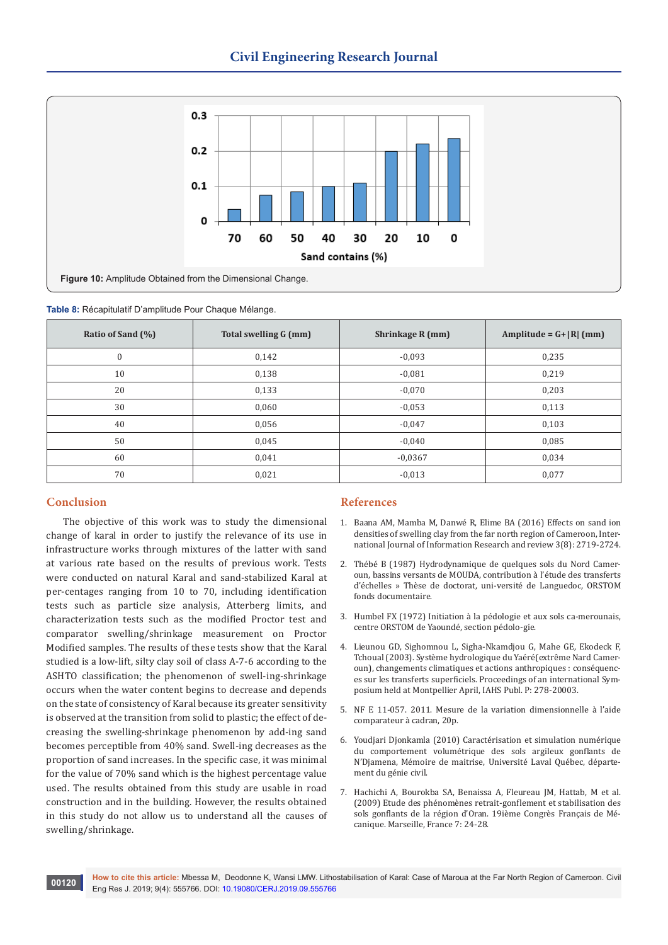

|  | Table 8: Récapitulatif D'amplitude Pour Chaque Mélange. |  |  |  |
|--|---------------------------------------------------------|--|--|--|
|  |                                                         |  |  |  |

| Ratio of Sand (%) | Total swelling G (mm) | Shrinkage R (mm) | Amplitude = $G+ R $ (mm) |
|-------------------|-----------------------|------------------|--------------------------|
| $\mathbf{0}$      | 0,142                 | $-0,093$         | 0,235                    |
| 10                | 0,138                 | $-0,081$         | 0,219                    |
| 20                | 0,133                 | $-0,070$         | 0,203                    |
| 30                | 0,060                 | $-0,053$         | 0,113                    |
| 40                | 0,056                 | $-0,047$         | 0,103                    |
| 50                | 0,045                 | $-0,040$         | 0,085                    |
| 60                | 0,041                 | $-0.0367$        | 0,034                    |
| 70                | 0,021                 | $-0,013$         | 0,077                    |

# **Conclusion**

The objective of this work was to study the dimensional change of karal in order to justify the relevance of its use in infrastructure works through mixtures of the latter with sand at various rate based on the results of previous work. Tests were conducted on natural Karal and sand-stabilized Karal at per-centages ranging from 10 to 70, including identification tests such as particle size analysis, Atterberg limits, and characterization tests such as the modified Proctor test and comparator swelling/shrinkage measurement on Proctor Modified samples. The results of these tests show that the Karal studied is a low-lift, silty clay soil of class A-7-6 according to the ASHTO classification; the phenomenon of swell-ing-shrinkage occurs when the water content begins to decrease and depends on the state of consistency of Karal because its greater sensitivity is observed at the transition from solid to plastic; the effect of decreasing the swelling-shrinkage phenomenon by add-ing sand becomes perceptible from 40% sand. Swell-ing decreases as the proportion of sand increases. In the specific case, it was minimal for the value of 70% sand which is the highest percentage value used. The results obtained from this study are usable in road construction and in the building. However, the results obtained in this study do not allow us to understand all the causes of swelling/shrinkage.

#### **References**

- 1. [Baana AM, Mamba M, Danwé R, Elime BA \(2016\) Effects on sand ion](https://www.ijirr.com/sites/default/files/issues-pdf/1285.pdf)  [densities of swelling clay from the far north region of Cameroon, Inter](https://www.ijirr.com/sites/default/files/issues-pdf/1285.pdf)[national Journal of Information Research and review 3\(8\): 2719-2724.](https://www.ijirr.com/sites/default/files/issues-pdf/1285.pdf)
- 2. Thébé B (1987) Hydrodynamique de quelques sols du Nord Cameroun, bassins versants de MOUDA, contribution à l'étude des transferts d'échelles » Thèse de doctorat, uni-versité de Languedoc, ORSTOM fonds documentaire.
- 3. Humbel FX (1972) Initiation à la pédologie et aux sols ca-merounais, centre ORSTOM de Yaoundé, section pédolo-gie.
- 4. Lieunou GD, Sighomnou L, Sigha-Nkamdjou G, Mahe GE, Ekodeck F, Tchoual (2003). Système hydrologique du Yaéré(extrême Nard Cameroun), changements climatiques et actions anthropiques : conséquences sur les transferts superficiels. Proceedings of an international Symposium held at Montpellier April, IAHS Publ. P: 278-20003.
- 5. NF E 11-057. 2011. Mesure de la variation dimensionnelle à l'aide comparateur à cadran, 20p.
- 6. Youdjari Djonkamla (2010) Caractérisation et simulation numérique du comportement volumétrique des sols argileux gonflants de N'Djamena, Mémoire de maitrise, Université Laval Québec, département du génie civil.
- 7. Hachichi A, Bourokba SA, Benaissa A, Fleureau JM, Hattab, M et al. (2009) Etude des phénomènes retrait-gonflement et stabilisation des sols gonflants de la région d'Oran. 19ième Congrès Français de Mécanique. Marseille, France 7: 24-28.